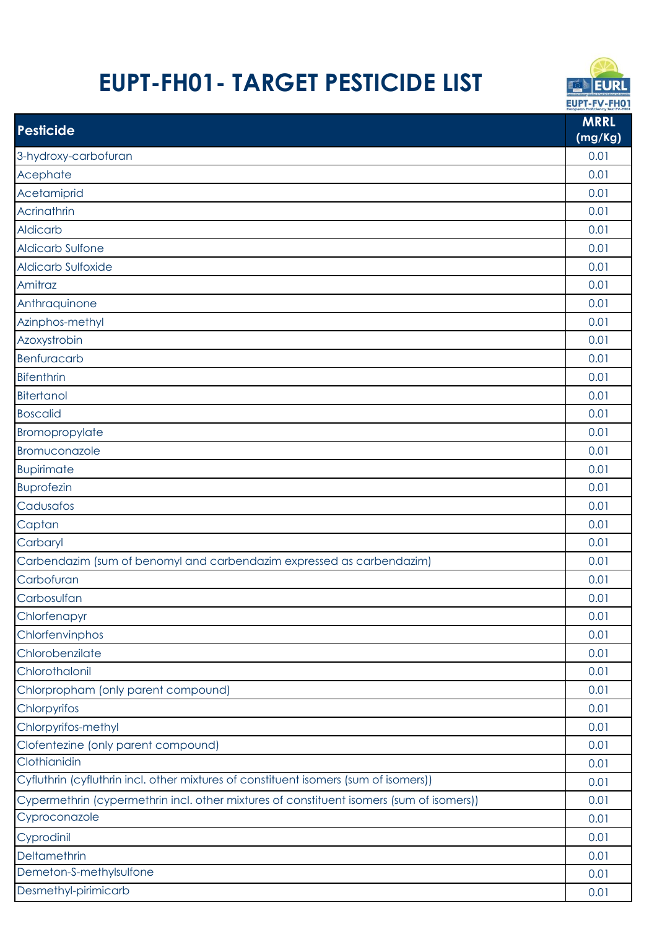## **EUPT-FH01- TARGET PESTICIDE LIST**



|                                                                                          | European Proficiency Test FV-FH01 |
|------------------------------------------------------------------------------------------|-----------------------------------|
| <b>Pesticide</b>                                                                         | <b>MRRL</b><br>(mg/Kg)            |
| 3-hydroxy-carbofuran                                                                     | 0.01                              |
| Acephate                                                                                 | 0.01                              |
| Acetamiprid                                                                              | 0.01                              |
| Acrinathrin                                                                              | 0.01                              |
| <b>Aldicarb</b>                                                                          | 0.01                              |
| <b>Aldicarb Sulfone</b>                                                                  | 0.01                              |
| <b>Aldicarb Sulfoxide</b>                                                                | 0.01                              |
| Amitraz                                                                                  | 0.01                              |
| Anthraquinone                                                                            | 0.01                              |
| Azinphos-methyl                                                                          | 0.01                              |
| Azoxystrobin                                                                             | 0.01                              |
| <b>Benfuracarb</b>                                                                       | 0.01                              |
| <b>Bifenthrin</b>                                                                        | 0.01                              |
| <b>Bitertanol</b>                                                                        | 0.01                              |
| <b>Boscalid</b>                                                                          | 0.01                              |
| Bromopropylate                                                                           | 0.01                              |
| Bromuconazole                                                                            | 0.01                              |
| <b>Bupirimate</b>                                                                        | 0.01                              |
| <b>Buprofezin</b>                                                                        | 0.01                              |
| Cadusafos                                                                                | 0.01                              |
| Captan                                                                                   | 0.01                              |
| Carbaryl                                                                                 | 0.01                              |
| Carbendazim (sum of benomyl and carbendazim expressed as carbendazim)                    | 0.01                              |
| Carbofuran                                                                               | 0.01                              |
| Carbosulfan                                                                              | 0.01                              |
| Chlorfenapyr                                                                             | 0.01                              |
| Chlorfenvinphos                                                                          | 0.01                              |
| Chlorobenzilate                                                                          | 0.01                              |
| Chlorothalonil                                                                           | 0.01                              |
| Chlorpropham (only parent compound)                                                      | 0.01                              |
| Chlorpyrifos                                                                             | 0.01                              |
| Chlorpyrifos-methyl                                                                      | 0.01                              |
| Clofentezine (only parent compound)                                                      | 0.01                              |
| Clothianidin                                                                             | 0.01                              |
| Cyfluthrin (cyfluthrin incl. other mixtures of constituent isomers (sum of isomers))     | 0.01                              |
| Cypermethrin (cypermethrin incl. other mixtures of constituent isomers (sum of isomers)) | 0.01                              |
| Cyproconazole                                                                            | 0.01                              |
| Cyprodinil                                                                               | 0.01                              |
| Deltamethrin                                                                             | 0.01                              |
| Demeton-S-methylsulfone                                                                  | 0.01                              |
| Desmethyl-pirimicarb                                                                     | 0.01                              |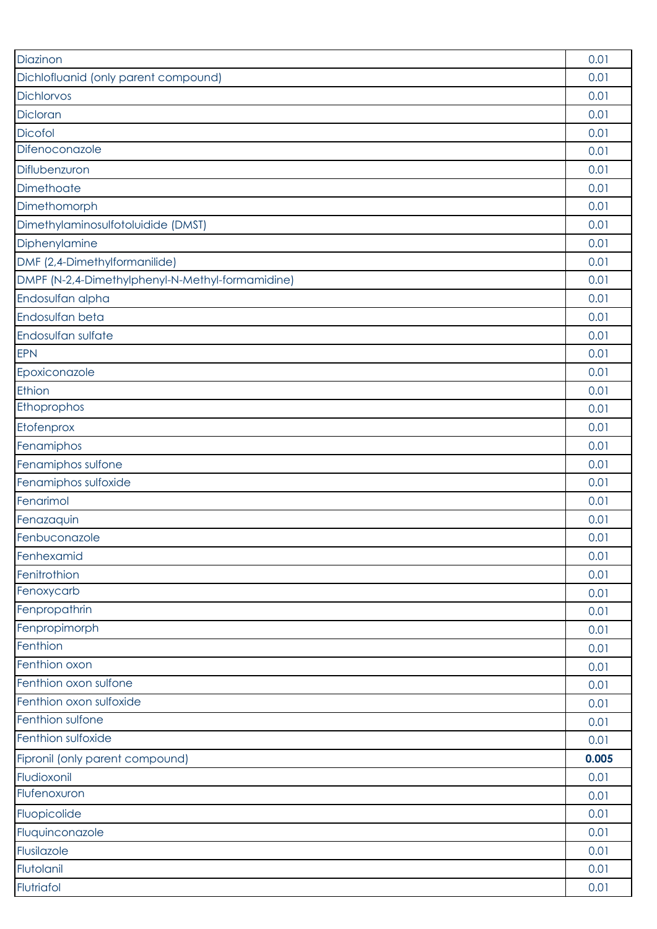| Diazinon                                         | 0.01  |
|--------------------------------------------------|-------|
| Dichlofluanid (only parent compound)             | 0.01  |
| Dichlorvos                                       | 0.01  |
| Dicloran                                         | 0.01  |
| Dicofol                                          | 0.01  |
| Difenoconazole                                   | 0.01  |
| Diflubenzuron                                    | 0.01  |
| Dimethoate                                       | 0.01  |
| Dimethomorph                                     | 0.01  |
| Dimethylaminosulfotoluidide (DMST)               | 0.01  |
| Diphenylamine                                    | 0.01  |
| DMF (2,4-Dimethylformanilide)                    | 0.01  |
| DMPF (N-2,4-Dimethylphenyl-N-Methyl-formamidine) | 0.01  |
| Endosulfan alpha                                 | 0.01  |
| Endosulfan beta                                  | 0.01  |
| Endosulfan sulfate                               | 0.01  |
| <b>EPN</b>                                       | 0.01  |
| Epoxiconazole                                    | 0.01  |
| Ethion                                           | 0.01  |
| Ethoprophos                                      | 0.01  |
| Etofenprox                                       | 0.01  |
| Fenamiphos                                       | 0.01  |
| Fenamiphos sulfone                               | 0.01  |
| Fenamiphos sulfoxide                             | 0.01  |
| Fenarimol                                        | 0.01  |
| Fenazaquin                                       | 0.01  |
| Fenbuconazole                                    | 0.01  |
| Fenhexamid                                       | 0.01  |
| Fenitrothion                                     | 0.01  |
| Fenoxycarb                                       | 0.01  |
| Fenpropathrin                                    | 0.01  |
| Fenpropimorph                                    | 0.01  |
| Fenthion                                         | 0.01  |
| Fenthion oxon                                    | 0.01  |
| Fenthion oxon sulfone                            | 0.01  |
| Fenthion oxon sulfoxide                          | 0.01  |
| Fenthion sulfone                                 | 0.01  |
| Fenthion sulfoxide                               | 0.01  |
| Fipronil (only parent compound)                  | 0.005 |
| Fludioxonil                                      | 0.01  |
| Flufenoxuron                                     | 0.01  |
| Fluopicolide                                     | 0.01  |
| Fluquinconazole                                  | 0.01  |
| Flusilazole                                      | 0.01  |
| Flutolanil                                       | 0.01  |
| Flutriafol                                       | 0.01  |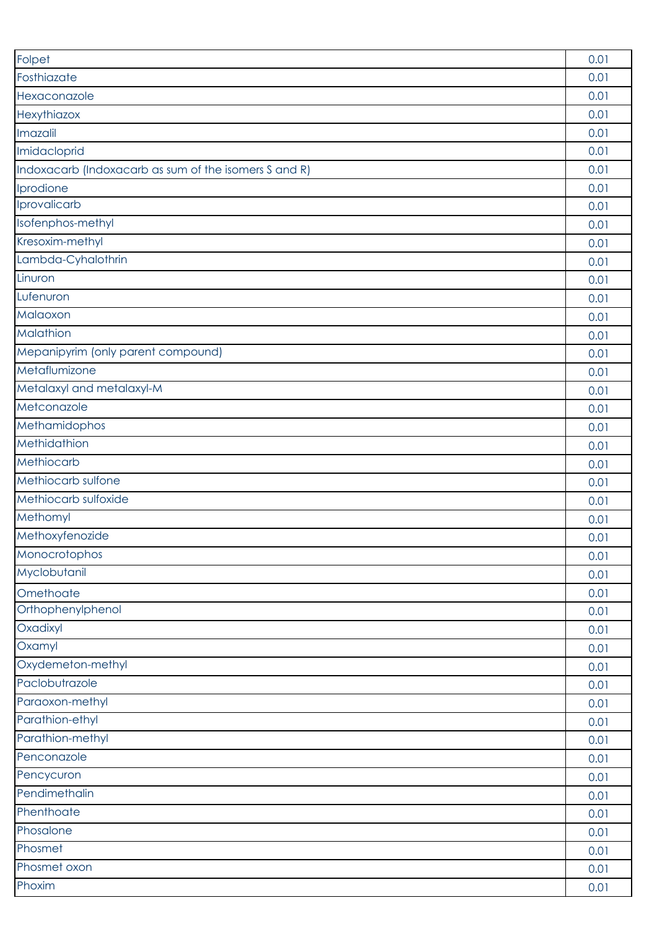| Folpet                                                | 0.01 |
|-------------------------------------------------------|------|
| Fosthiazate                                           | 0.01 |
| Hexaconazole                                          | 0.01 |
| Hexythiazox                                           | 0.01 |
| Imazalil                                              | 0.01 |
| Imidacloprid                                          | 0.01 |
| Indoxacarb (Indoxacarb as sum of the isomers S and R) | 0.01 |
| Iprodione                                             | 0.01 |
| Iprovalicarb                                          | 0.01 |
| Isofenphos-methyl                                     | 0.01 |
| Kresoxim-methyl                                       | 0.01 |
| Lambda-Cyhalothrin                                    | 0.01 |
| Linuron                                               | 0.01 |
| Lufenuron                                             | 0.01 |
| Malaoxon                                              | 0.01 |
| Malathion                                             | 0.01 |
| Mepanipyrim (only parent compound)                    | 0.01 |
| Metaflumizone                                         | 0.01 |
| Metalaxyl and metalaxyl-M                             | 0.01 |
| Metconazole                                           | 0.01 |
| Methamidophos                                         | 0.01 |
| Methidathion                                          | 0.01 |
| Methiocarb                                            | 0.01 |
| Methiocarb sulfone                                    | 0.01 |
| Methiocarb sulfoxide                                  | 0.01 |
| Methomyl                                              | 0.01 |
| Methoxyfenozide                                       | 0.01 |
| Monocrotophos                                         | 0.01 |
| Myclobutanil                                          | 0.01 |
| Omethoate                                             | 0.01 |
| Orthophenylphenol                                     | 0.01 |
| Oxadixyl                                              | 0.01 |
| Oxamyl                                                | 0.01 |
| Oxydemeton-methyl                                     | 0.01 |
| Paclobutrazole                                        | 0.01 |
| Paraoxon-methyl                                       | 0.01 |
| Parathion-ethyl                                       | 0.01 |
| Parathion-methyl                                      | 0.01 |
| Penconazole                                           | 0.01 |
| Pencycuron                                            | 0.01 |
| Pendimethalin                                         | 0.01 |
| Phenthoate                                            | 0.01 |
| Phosalone                                             | 0.01 |
| Phosmet                                               | 0.01 |
| Phosmet oxon                                          | 0.01 |
| Phoxim                                                | 0.01 |